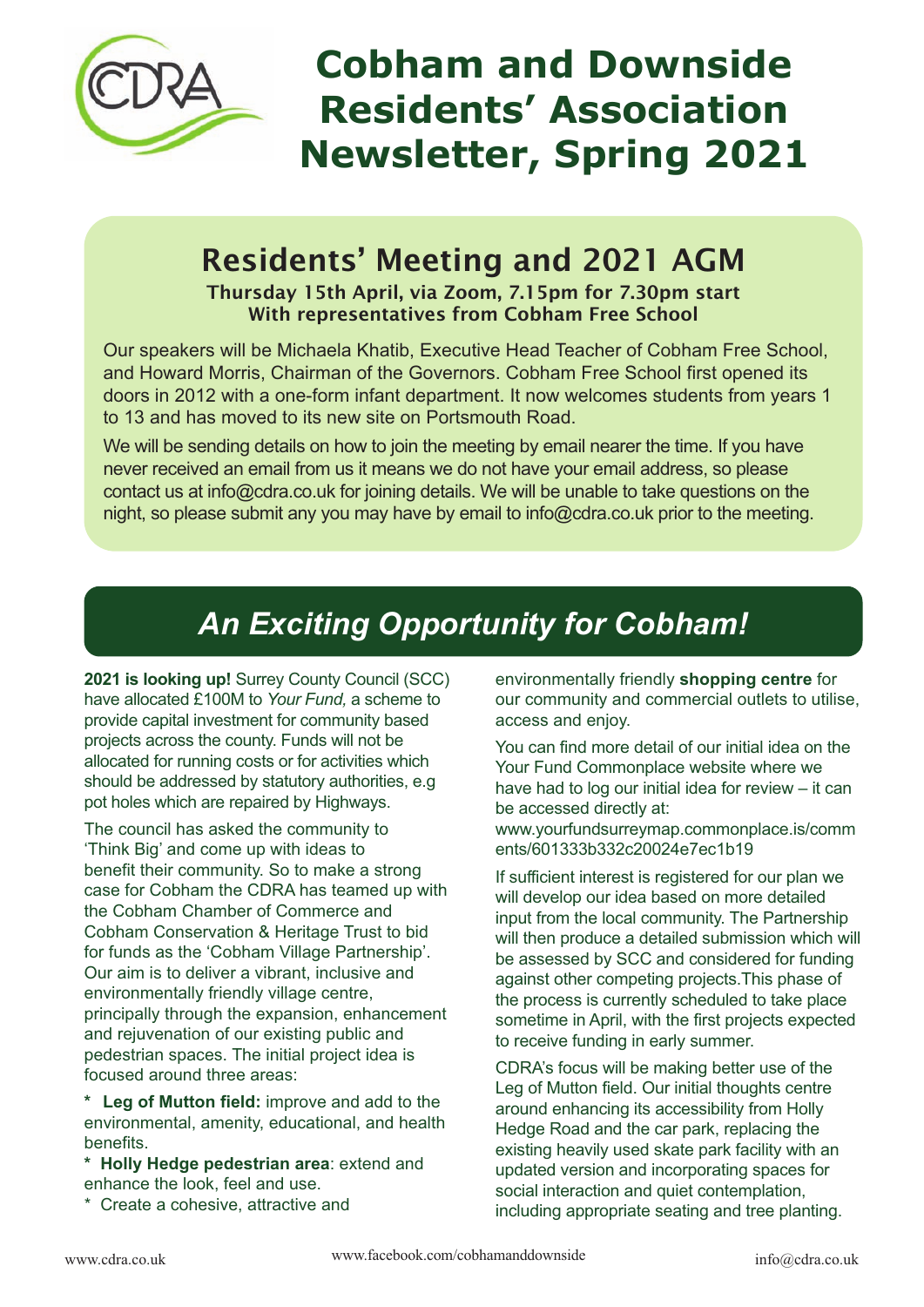

# **Cobham and Downside Residents' Association Newsletter, Spring 2021**

## Residents' Meeting and 2021 AGM

Thursday 15th April, via Zoom, 7.15pm for 7.30pm start With representatives from Cobham Free School

Our speakers will be Michaela Khatib, Executive Head Teacher of Cobham Free School, and Howard Morris, Chairman of the Governors. Cobham Free School first opened its doors in 2012 with a one-form infant department. It now welcomes students from years 1 to 13 and has moved to its new site on Portsmouth Road.

We will be sending details on how to join the meeting by email nearer the time. If you have never received an email from us it means we do not have your email address, so please contact us at info@cdra.co.uk for joining details. We will be unable to take questions on the night, so please submit any you may have by email to info@cdra.co.uk prior to the meeting.

### *An Exciting Opportunity for Cobham!*

**2021 is looking up!** Surrey County Council (SCC) have allocated £100M to *Your Fund,* a scheme to provide capital investment for community based projects across the county. Funds will not be allocated for running costs or for activities which should be addressed by statutory authorities, e.g pot holes which are repaired by Highways.

The council has asked the community to 'Think Big' and come up with ideas to benefit their community. So to make a strong case for Cobham the CDRA has teamed up with the Cobham Chamber of Commerce and Cobham Conservation & Heritage Trust to bid for funds as the 'Cobham Village Partnership'. Our aim is to deliver a vibrant, inclusive and environmentally friendly village centre, principally through the expansion, enhancement and rejuvenation of our existing public and pedestrian spaces. The initial project idea is focused around three areas:

**\* Leg of Mutton field:** improve and add to the environmental, amenity, educational, and health benefits.

**\* Holly Hedge pedestrian area**: extend and enhance the look, feel and use.

\* Create a cohesive, attractive and

environmentally friendly **shopping centre** for our community and commercial outlets to utilise, access and enjoy.

You can find more detail of our initial idea on the Your Fund Commonplace website where we have had to log our initial idea for review – it can be accessed directly at:

www.yourfundsurreymap.commonplace.is/comm ents/601333b332c20024e7ec1b19

If sufficient interest is registered for our plan we will develop our idea based on more detailed input from the local community. The Partnership will then produce a detailed submission which will be assessed by SCC and considered for funding against other competing projects.This phase of the process is currently scheduled to take place sometime in April, with the first projects expected to receive funding in early summer.

CDRA's focus will be making better use of the Leg of Mutton field. Our initial thoughts centre around enhancing its accessibility from Holly Hedge Road and the car park, replacing the existing heavily used skate park facility with an updated version and incorporating spaces for social interaction and quiet contemplation, including appropriate seating and tree planting.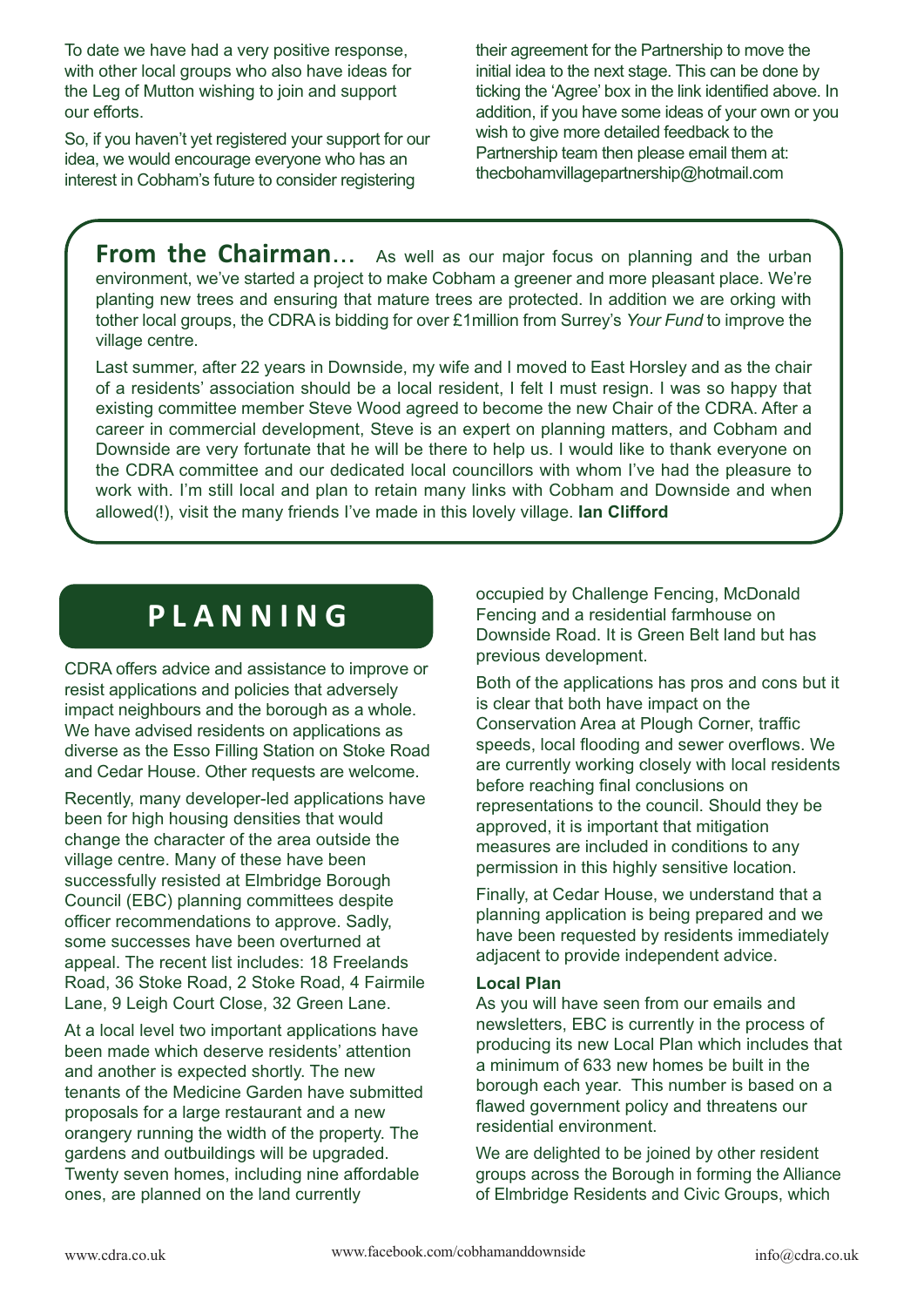To date we have had a very positive response, with other local groups who also have ideas for the Leg of Mutton wishing to join and support our efforts.

So, if you haven't yet registered your support for our idea, we would encourage everyone who has an interest in Cobham's future to consider registering

their agreement for the Partnership to move the initial idea to the next stage. This can be done by ticking the 'Agree' box in the link identified above. In addition, if you have some ideas of your own or you wish to give more detailed feedback to the Partnership team then please email them at: thecbohamvillagepartnership@hotmail.com

**From the Chairman...** As well as our major focus on planning and the urban environment, we've started a project to make Cobham a greener and more pleasant place. We're planting new trees and ensuring that mature trees are protected. In addition we are orking with tother local groups, the CDRA is bidding for over £1million from Surrey's *Your Fund* to improve the village centre.

Last summer, after 22 years in Downside, my wife and I moved to East Horsley and as the chair of a residents' association should be a local resident, I felt I must resign. I was so happy that existing committee member Steve Wood agreed to become the new Chair of the CDRA. After a career in commercial development, Steve is an expert on planning matters, and Cobham and Downside are very fortunate that he will be there to help us. I would like to thank everyone on the CDRA committee and our dedicated local councillors with whom I've had the pleasure to work with. I'm still local and plan to retain many links with Cobham and Downside and when allowed(!), visit the many friends I've made in this lovely village. **Ian Clifford**

### **P L A N N I N G**

CDRA offers advice and assistance to improve or resist applications and policies that adversely impact neighbours and the borough as a whole. We have advised residents on applications as diverse as the Esso Filling Station on Stoke Road and Cedar House. Other requests are welcome.

Recently, many developer-led applications have been for high housing densities that would change the character of the area outside the village centre. Many of these have been successfully resisted at Elmbridge Borough Council (EBC) planning committees despite officer recommendations to approve. Sadly, some successes have been overturned at appeal. The recent list includes: 18 Freelands Road, 36 Stoke Road, 2 Stoke Road, 4 Fairmile Lane, 9 Leigh Court Close, 32 Green Lane.

At a local level two important applications have been made which deserve residents' attention and another is expected shortly. The new tenants of the Medicine Garden have submitted proposals for a large restaurant and a new orangery running the width of the property. The gardens and outbuildings will be upgraded. Twenty seven homes, including nine affordable ones, are planned on the land currently

occupied by Challenge Fencing, McDonald Fencing and a residential farmhouse on Downside Road. It is Green Belt land but has previous development.

Both of the applications has pros and cons but it is clear that both have impact on the Conservation Area at Plough Corner, traffic speeds, local flooding and sewer overflows. We are currently working closely with local residents before reaching final conclusions on representations to the council. Should they be approved, it is important that mitigation measures are included in conditions to any permission in this highly sensitive location.

Finally, at Cedar House, we understand that a planning application is being prepared and we have been requested by residents immediately adjacent to provide independent advice.

#### **Local Plan**

As you will have seen from our emails and newsletters, EBC is currently in the process of producing its new Local Plan which includes that a minimum of 633 new homes be built in the borough each year. This number is based on a flawed government policy and threatens our residential environment.

We are delighted to be joined by other resident groups across the Borough in forming the Alliance of Elmbridge Residents and Civic Groups, which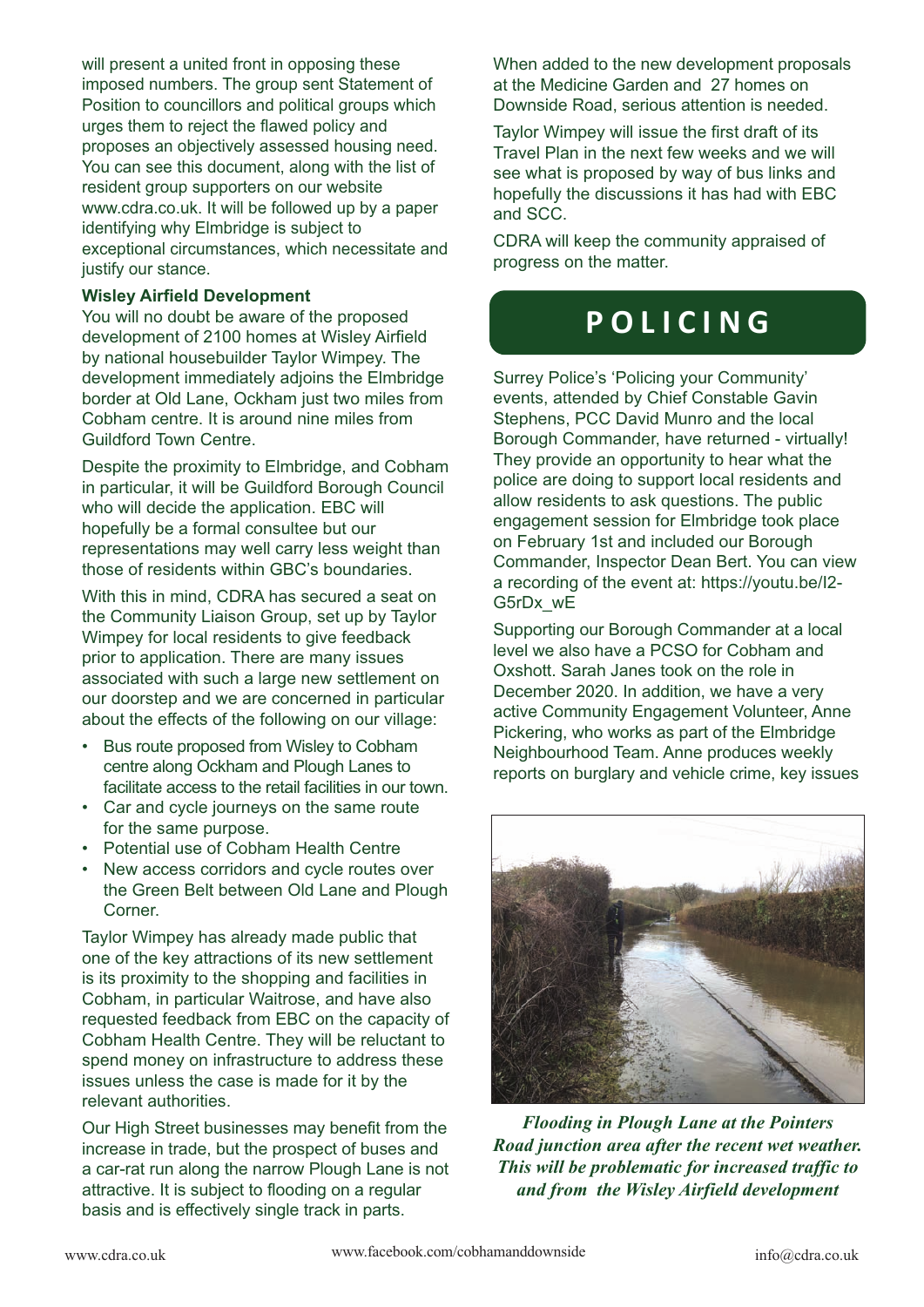will present a united front in opposing these imposed numbers. The group sent Statement of Position to councillors and political groups which urges them to reject the flawed policy and proposes an objectively assessed housing need. You can see this document, along with the list of resident group supporters on our website www.cdra.co.uk. It will be followed up by a paper identifying why Elmbridge is subject to exceptional circumstances, which necessitate and justify our stance.

#### **Wisley Airfield Development**

You will no doubt be aware of the proposed development of 2100 homes at Wisley Airfield by national housebuilder Taylor Wimpey. The development immediately adjoins the Elmbridge border at Old Lane, Ockham just two miles from Cobham centre. It is around nine miles from Guildford Town Centre.

Despite the proximity to Elmbridge, and Cobham in particular, it will be Guildford Borough Council who will decide the application. EBC will hopefully be a formal consultee but our representations may well carry less weight than those of residents within GBC's boundaries.

With this in mind, CDRA has secured a seat on the Community Liaison Group, set up by Taylor Wimpey for local residents to give feedback prior to application. There are many issues associated with such a large new settlement on our doorstep and we are concerned in particular about the effects of the following on our village:

- Bus route proposed from Wisley to Cobham centre along Ockham and Plough Lanes to facilitate access to the retail facilities in our town.
- Car and cycle journeys on the same route for the same purpose.
- Potential use of Cobham Health Centre
- New access corridors and cycle routes over the Green Belt between Old Lane and Plough Corner.

Taylor Wimpey has already made public that one of the key attractions of its new settlement is its proximity to the shopping and facilities in Cobham, in particular Waitrose, and have also requested feedback from EBC on the capacity of Cobham Health Centre. They will be reluctant to spend money on infrastructure to address these issues unless the case is made for it by the relevant authorities.

Our High Street businesses may benefit from the increase in trade, but the prospect of buses and a car-rat run along the narrow Plough Lane is not attractive. It is subject to flooding on a regular basis and is effectively single track in parts.

When added to the new development proposals at the Medicine Garden and 27 homes on Downside Road, serious attention is needed.

Taylor Wimpey will issue the first draft of its Travel Plan in the next few weeks and we will see what is proposed by way of bus links and hopefully the discussions it has had with EBC and SCC.

CDRA will keep the community appraised of progress on the matter.

### **P O L I C I N G**

Surrey Police's 'Policing your Community' events, attended by Chief Constable Gavin Stephens, PCC David Munro and the local Borough Commander, have returned - virtually! They provide an opportunity to hear what the police are doing to support local residents and allow residents to ask questions. The public engagement session for Elmbridge took place on February 1st and included our Borough Commander, Inspector Dean Bert. You can view a recording of the event at: https://youtu.be/I2- G5rDx\_wE

Supporting our Borough Commander at a local level we also have a PCSO for Cobham and Oxshott. Sarah Janes took on the role in December 2020. In addition, we have a very active Community Engagement Volunteer, Anne Pickering, who works as part of the Elmbridge Neighbourhood Team. Anne produces weekly reports on burglary and vehicle crime, key issues



*Flooding in Plough Lane at the Pointers Road junction area after the recent wet weather. This will be problematic for increased traffic to and from the Wisley Airfield development*